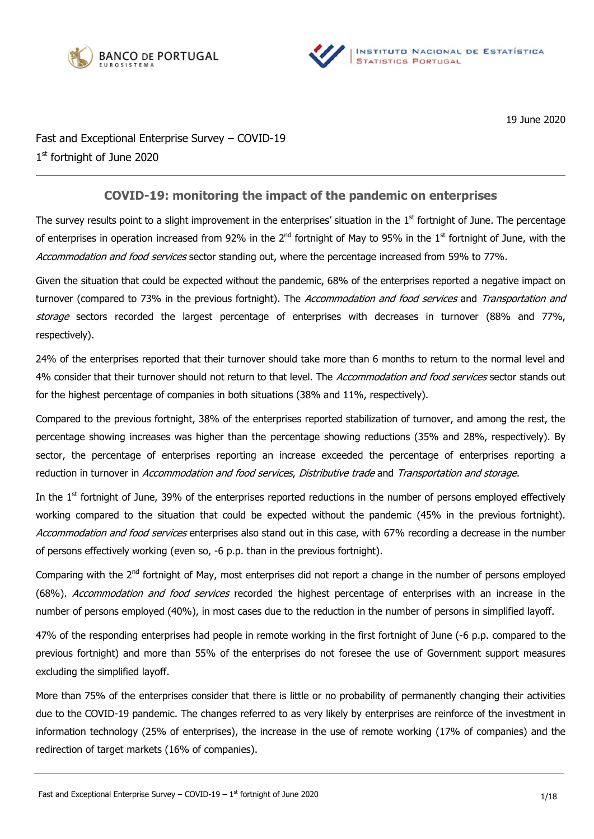



19 June 2020

Fast and Exceptional Enterprise Survey – COVID-19 1st fortnight of June 2020

## **COVID-19: monitoring the impact of the pandemic on enterprises**

The survey results point to a slight improvement in the enterprises' situation in the  $1<sup>st</sup>$  fortnight of June. The percentage of enterprises in operation increased from 92% in the 2<sup>nd</sup> fortnight of May to 95% in the 1<sup>st</sup> fortnight of June, with the Accommodation and food services sector standing out, where the percentage increased from 59% to 77%.

Given the situation that could be expected without the pandemic, 68% of the enterprises reported a negative impact on turnover (compared to 73% in the previous fortnight). The Accommodation and food services and Transportation and storage sectors recorded the largest percentage of enterprises with decreases in turnover (88% and 77%, respectively).

24% of the enterprises reported that their turnover should take more than 6 months to return to the normal level and 4% consider that their turnover should not return to that level. The Accommodation and food services sector stands out for the highest percentage of companies in both situations (38% and 11%, respectively).

Compared to the previous fortnight, 38% of the enterprises reported stabilization of turnover, and among the rest, the percentage showing increases was higher than the percentage showing reductions (35% and 28%, respectively). By sector, the percentage of enterprises reporting an increase exceeded the percentage of enterprises reporting a reduction in turnover in Accommodation and food services, Distributive trade and Transportation and storage.

In the  $1<sup>st</sup>$  fortnight of June, 39% of the enterprises reported reductions in the number of persons employed effectively working compared to the situation that could be expected without the pandemic (45% in the previous fortnight). Accommodation and food services enterprises also stand out in this case, with 67% recording a decrease in the number of persons effectively working (even so, -6 p.p. than in the previous fortnight).

Comparing with the 2<sup>nd</sup> fortnight of May, most enterprises did not report a change in the number of persons employed (68%). Accommodation and food services recorded the highest percentage of enterprises with an increase in the number of persons employed (40%), in most cases due to the reduction in the number of persons in simplified layoff.

47% of the responding enterprises had people in remote working in the first fortnight of June (-6 p.p. compared to the previous fortnight) and more than 55% of the enterprises do not foresee the use of Government support measures excluding the simplified layoff.

More than 75% of the enterprises consider that there is little or no probability of permanently changing their activities due to the COVID-19 pandemic. The changes referred to as very likely by enterprises are reinforce of the investment in information technology (25% of enterprises), the increase in the use of remote working (17% of companies) and the redirection of target markets (16% of companies).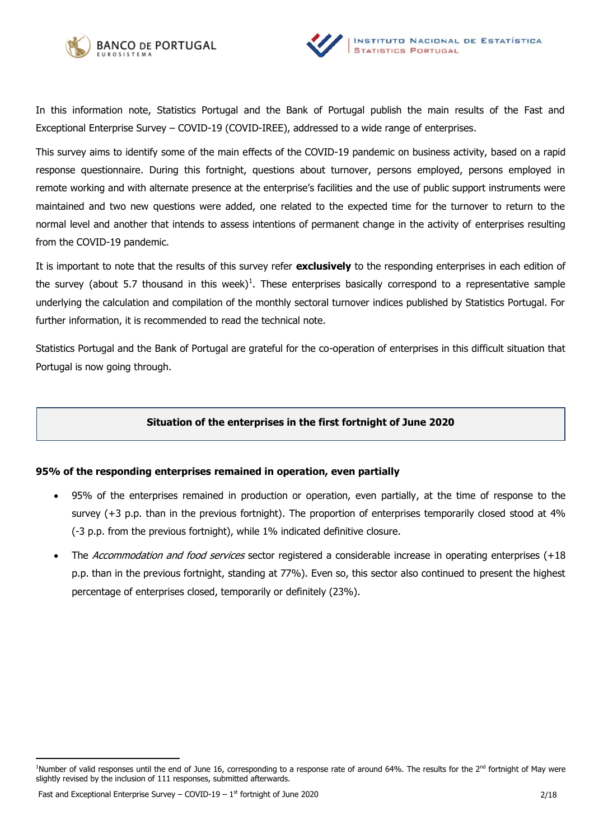



In this information note, Statistics Portugal and the Bank of Portugal publish the main results of the Fast and Exceptional Enterprise Survey – COVID-19 (COVID-IREE), addressed to a wide range of enterprises.

This survey aims to identify some of the main effects of the COVID-19 pandemic on business activity, based on a rapid response questionnaire. During this fortnight, questions about turnover, persons employed, persons employed in remote working and with alternate presence at the enterprise's facilities and the use of public support instruments were maintained and two new questions were added, one related to the expected time for the turnover to return to the normal level and another that intends to assess intentions of permanent change in the activity of enterprises resulting from the COVID-19 pandemic.

It is important to note that the results of this survey refer **exclusively** to the responding enterprises in each edition of the survey (about 5.7 thousand in this week)<sup>1</sup>. These enterprises basically correspond to a representative sample underlying the calculation and compilation of the monthly sectoral turnover indices published by Statistics Portugal. For further information, it is recommended to read the technical note.

Statistics Portugal and the Bank of Portugal are grateful for the co-operation of enterprises in this difficult situation that Portugal is now going through.

## **Situation of the enterprises in the first fortnight of June 2020**

## **95% of the responding enterprises remained in operation, even partially**

- 95% of the enterprises remained in production or operation, even partially, at the time of response to the survey (+3 p.p. than in the previous fortnight). The proportion of enterprises temporarily closed stood at 4% (-3 p.p. from the previous fortnight), while 1% indicated definitive closure.
- The Accommodation and food services sector registered a considerable increase in operating enterprises (+18 p.p. than in the previous fortnight, standing at 77%). Even so, this sector also continued to present the highest percentage of enterprises closed, temporarily or definitely (23%).

<sup>&</sup>lt;sup>1</sup>Number of valid responses until the end of June 16, corresponding to a response rate of around 64%. The results for the  $2<sup>nd</sup>$  fortnight of May were slightly revised by the inclusion of 111 responses, submitted afterwards.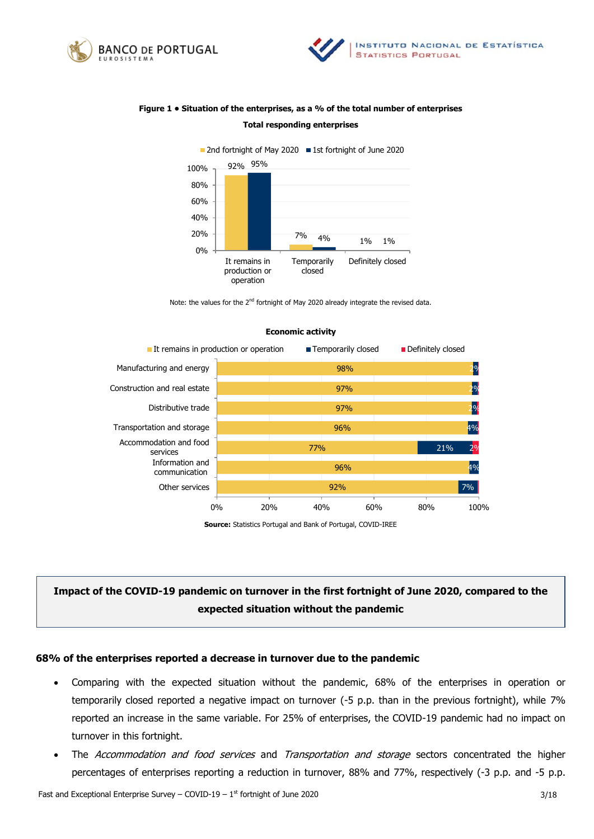



## **Figure 1 • Situation of the enterprises, as a % of the total number of enterprises Total responding enterprises**



Note: the values for the 2<sup>nd</sup> fortnight of May 2020 already integrate the revised data.



#### **Economic activity**

**Source:** Statistics Portugal and Bank of Portugal, COVID-IREE

# **Impact of the COVID-19 pandemic on turnover in the first fortnight of June 2020, compared to the expected situation without the pandemic**

## **68% of the enterprises reported a decrease in turnover due to the pandemic**

- Comparing with the expected situation without the pandemic, 68% of the enterprises in operation or temporarily closed reported a negative impact on turnover (-5 p.p. than in the previous fortnight), while 7% reported an increase in the same variable. For 25% of enterprises, the COVID-19 pandemic had no impact on turnover in this fortnight.
- The Accommodation and food services and Transportation and storage sectors concentrated the higher percentages of enterprises reporting a reduction in turnover, 88% and 77%, respectively (-3 p.p. and -5 p.p.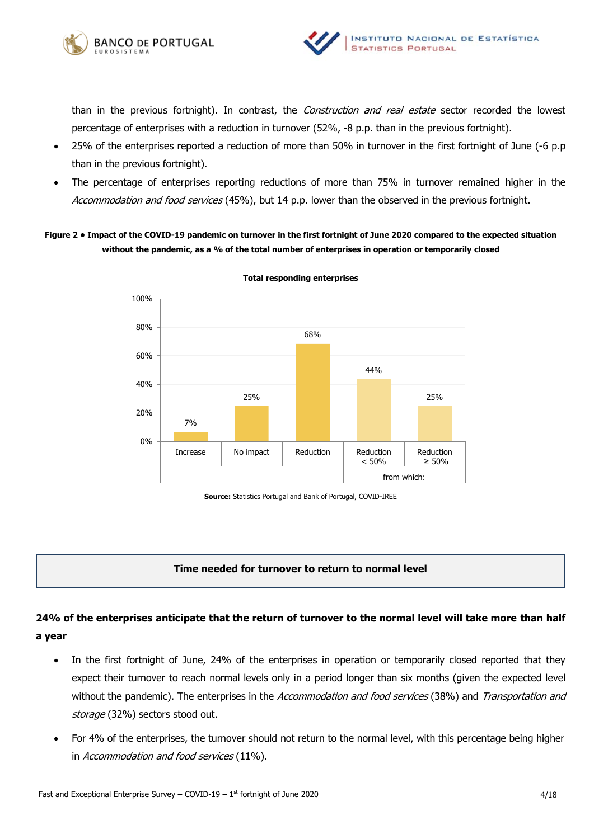



than in the previous fortnight). In contrast, the *Construction and real estate* sector recorded the lowest percentage of enterprises with a reduction in turnover (52%, -8 p.p. than in the previous fortnight).

- 25% of the enterprises reported a reduction of more than 50% in turnover in the first fortnight of June (-6 p.p than in the previous fortnight).
- The percentage of enterprises reporting reductions of more than 75% in turnover remained higher in the Accommodation and food services (45%), but 14 p.p. lower than the observed in the previous fortnight.

**Figure 2 • Impact of the COVID-19 pandemic on turnover in the first fortnight of June 2020 compared to the expected situation without the pandemic, as a % of the total number of enterprises in operation or temporarily closed**



**Total responding enterprises** 

**Source:** Statistics Portugal and Bank of Portugal, COVID-IREE

## **Time needed for turnover to return to normal level**

# **24% of the enterprises anticipate that the return of turnover to the normal level will take more than half a year**

- In the first fortnight of June, 24% of the enterprises in operation or temporarily closed reported that they expect their turnover to reach normal levels only in a period longer than six months (given the expected level without the pandemic). The enterprises in the Accommodation and food services (38%) and Transportation and storage (32%) sectors stood out.
- For 4% of the enterprises, the turnover should not return to the normal level, with this percentage being higher in Accommodation and food services (11%).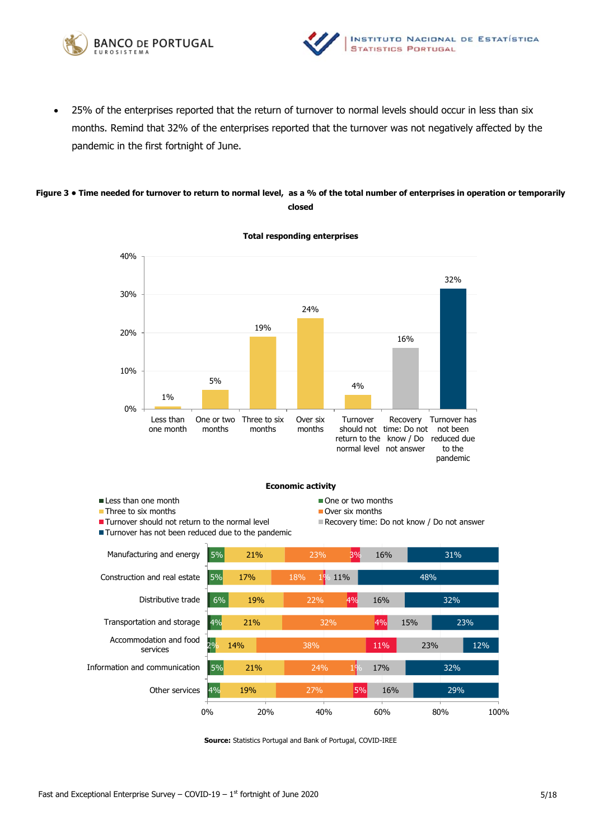



 25% of the enterprises reported that the return of turnover to normal levels should occur in less than six months. Remind that 32% of the enterprises reported that the turnover was not negatively affected by the pandemic in the first fortnight of June.

#### **Figure 3 • Time needed for turnover to return to normal level, as a % of the total number of enterprises in operation or temporarily closed**



**Total responding enterprises** 

4% 5% 2% 4% 6% 5% 5% 19% 21% 14% 21% 19% 17% 21% 27% 24% 38% 32% 22% 18% 23% 5% 1% 11% 4% 4% 1<sup>0</sup> 11% 3% 16% 17% 23% 15% 16% 16% 29% 32% 12% 23% 32% 48% 31% 0% 20% 40% 60% 80% 100% Other services Information and communication Accommodation and food services Transportation and storage Distributive trade Construction and real estate Manufacturing and energy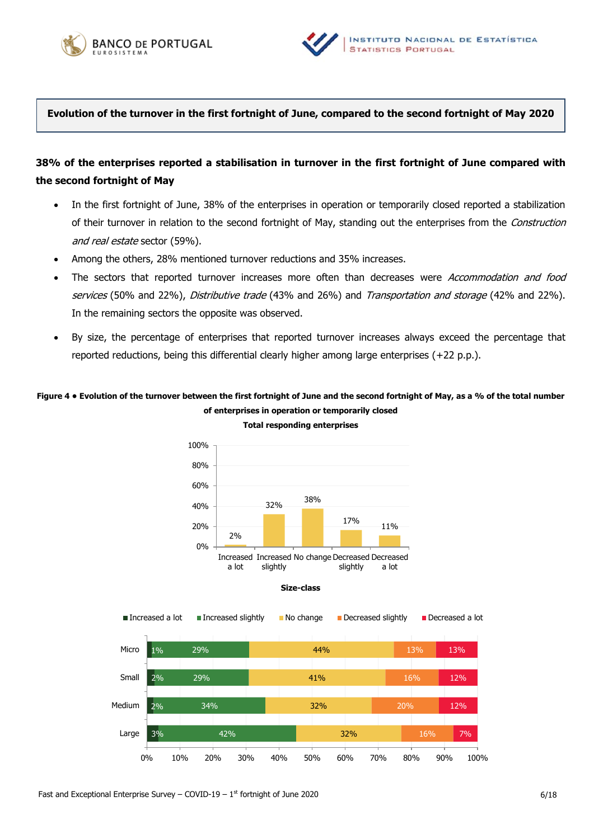



**Evolution of the turnover in the first fortnight of June, compared to the second fortnight of May 2020**

## **38% of the enterprises reported a stabilisation in turnover in the first fortnight of June compared with the second fortnight of May**

- In the first fortnight of June, 38% of the enterprises in operation or temporarily closed reported a stabilization of their turnover in relation to the second fortnight of May, standing out the enterprises from the Construction and real estate sector (59%).
- Among the others, 28% mentioned turnover reductions and 35% increases.
- The sectors that reported turnover increases more often than decreases were Accommodation and food services (50% and 22%), Distributive trade (43% and 26%) and Transportation and storage (42% and 22%). In the remaining sectors the opposite was observed.
- By size, the percentage of enterprises that reported turnover increases always exceed the percentage that reported reductions, being this differential clearly higher among large enterprises (+22 p.p.).

## **Figure 4 • Evolution of the turnover between the first fortnight of June and the second fortnight of May, as a % of the total number of enterprises in operation or temporarily closed**



**Total responding enterprises**

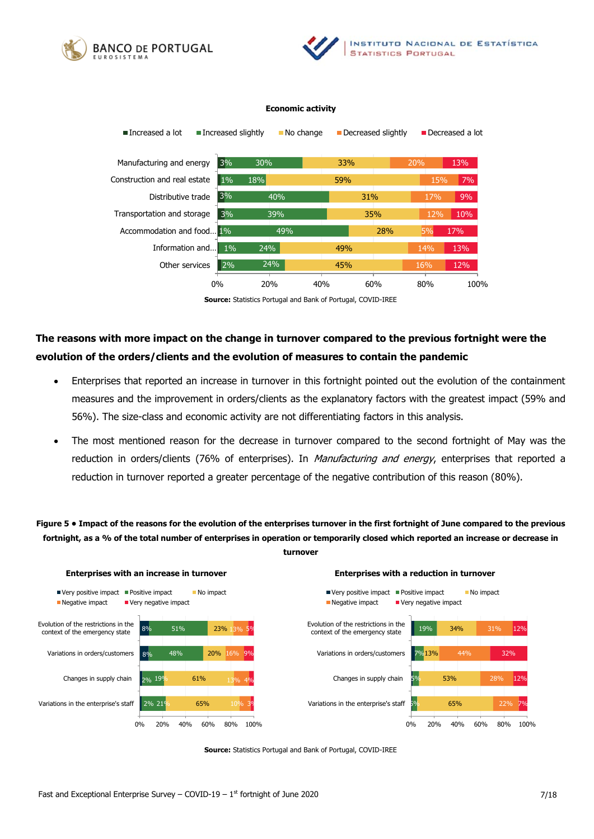





**Source:** Statistics Portugal and Bank of Portugal, COVID-IREE

# **The reasons with more impact on the change in turnover compared to the previous fortnight were the evolution of the orders/clients and the evolution of measures to contain the pandemic**

- Enterprises that reported an increase in turnover in this fortnight pointed out the evolution of the containment measures and the improvement in orders/clients as the explanatory factors with the greatest impact (59% and 56%). The size-class and economic activity are not differentiating factors in this analysis.
- The most mentioned reason for the decrease in turnover compared to the second fortnight of May was the reduction in orders/clients (76% of enterprises). In Manufacturing and energy, enterprises that reported a reduction in turnover reported a greater percentage of the negative contribution of this reason (80%).

**Figure 5 • Impact of the reasons for the evolution of the enterprises turnover in the first fortnight of June compared to the previous fortnight, as a % of the total number of enterprises in operation or temporarily closed which reported an increase or decrease in turnover**



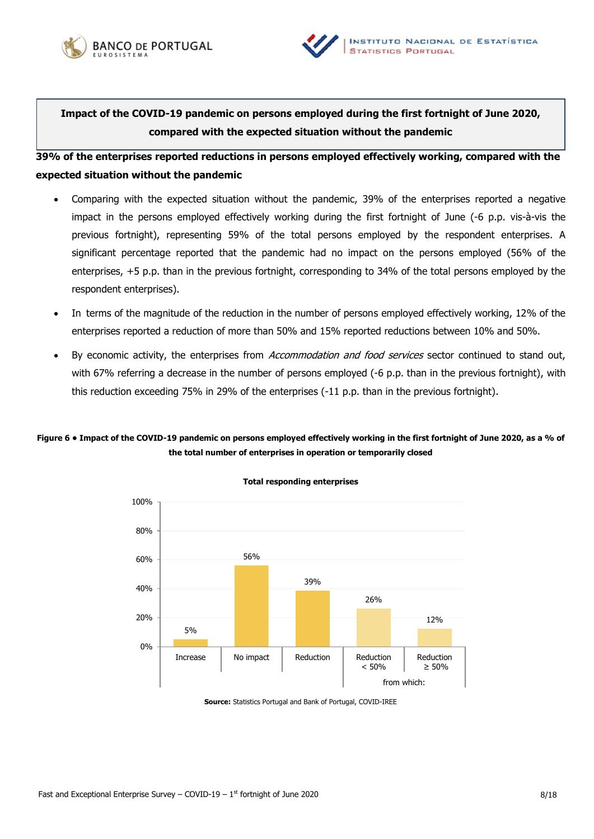



**Impact of the COVID-19 pandemic on persons employed during the first fortnight of June 2020, compared with the expected situation without the pandemic**

**39% of the enterprises reported reductions in persons employed effectively working, compared with the expected situation without the pandemic** 

- Comparing with the expected situation without the pandemic, 39% of the enterprises reported a negative impact in the persons employed effectively working during the first fortnight of June (-6 p.p. vis-à-vis the previous fortnight), representing 59% of the total persons employed by the respondent enterprises. A significant percentage reported that the pandemic had no impact on the persons employed (56% of the enterprises, +5 p.p. than in the previous fortnight, corresponding to 34% of the total persons employed by the respondent enterprises).
- In terms of the magnitude of the reduction in the number of persons employed effectively working, 12% of the enterprises reported a reduction of more than 50% and 15% reported reductions between 10% and 50%.
- By economic activity, the enterprises from Accommodation and food services sector continued to stand out, with 67% referring a decrease in the number of persons employed (-6 p.p. than in the previous fortnight), with this reduction exceeding 75% in 29% of the enterprises (-11 p.p. than in the previous fortnight).

## **Figure 6 • Impact of the COVID-19 pandemic on persons employed effectively working in the first fortnight of June 2020, as a % of the total number of enterprises in operation or temporarily closed**



**Total responding enterprises**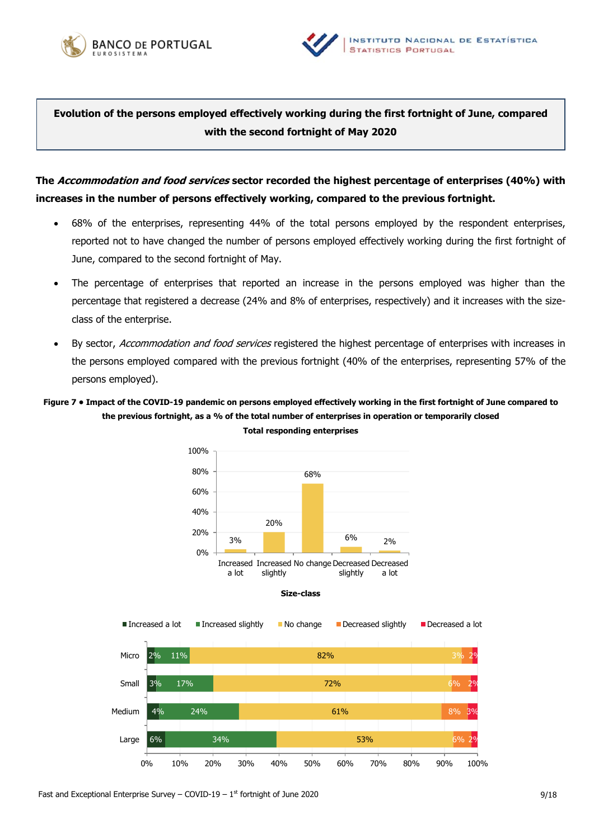



**Evolution of the persons employed effectively working during the first fortnight of June, compared with the second fortnight of May 2020**

**The Accommodation and food services sector recorded the highest percentage of enterprises (40%) with increases in the number of persons effectively working, compared to the previous fortnight.** 

- 68% of the enterprises, representing 44% of the total persons employed by the respondent enterprises, reported not to have changed the number of persons employed effectively working during the first fortnight of June, compared to the second fortnight of May.
- The percentage of enterprises that reported an increase in the persons employed was higher than the percentage that registered a decrease (24% and 8% of enterprises, respectively) and it increases with the sizeclass of the enterprise.
- By sector, Accommodation and food services registered the highest percentage of enterprises with increases in the persons employed compared with the previous fortnight (40% of the enterprises, representing 57% of the persons employed).

## **Figure 7 • Impact of the COVID-19 pandemic on persons employed effectively working in the first fortnight of June compared to the previous fortnight, as a % of the total number of enterprises in operation or temporarily closed**



**Total responding enterprises**

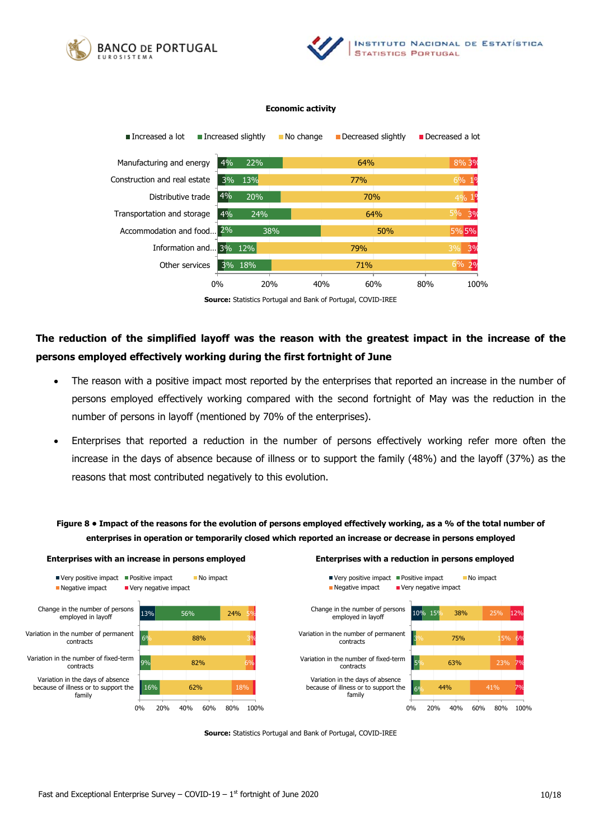





**Source:** Statistics Portugal and Bank of Portugal, COVID-IREE

# **The reduction of the simplified layoff was the reason with the greatest impact in the increase of the persons employed effectively working during the first fortnight of June**

- The reason with a positive impact most reported by the enterprises that reported an increase in the number of persons employed effectively working compared with the second fortnight of May was the reduction in the number of persons in layoff (mentioned by 70% of the enterprises).
- Enterprises that reported a reduction in the number of persons effectively working refer more often the increase in the days of absence because of illness or to support the family (48%) and the layoff (37%) as the reasons that most contributed negatively to this evolution.

**Figure 8 • Impact of the reasons for the evolution of persons employed effectively working, as a % of the total number of enterprises in operation or temporarily closed which reported an increase or decrease in persons employed**

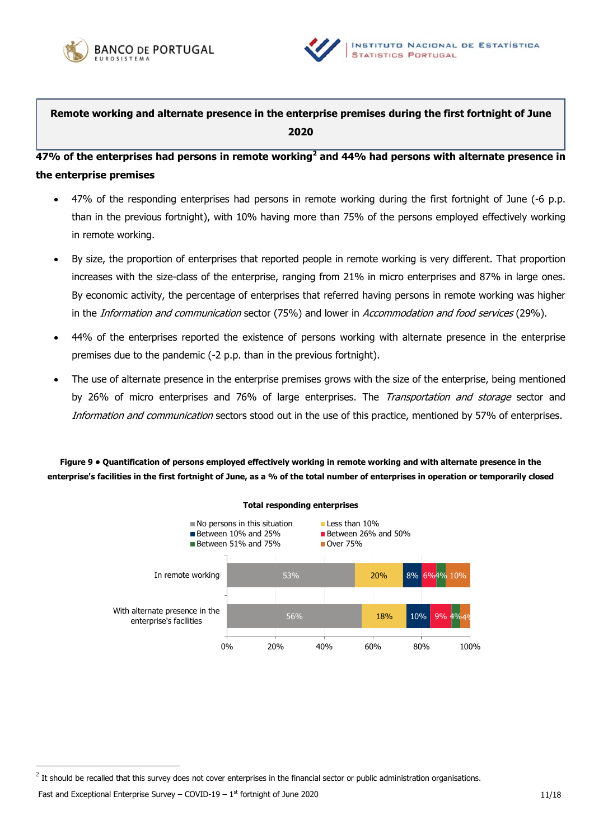



**Remote working and alternate presence in the enterprise premises during the first fortnight of June 2020**

**47% of the enterprises had persons in remote working<sup>2</sup> and 44% had persons with alternate presence in the enterprise premises**

- 47% of the responding enterprises had persons in remote working during the first fortnight of June (-6 p.p. than in the previous fortnight), with 10% having more than 75% of the persons employed effectively working in remote working.
- By size, the proportion of enterprises that reported people in remote working is very different. That proportion increases with the size-class of the enterprise, ranging from 21% in micro enterprises and 87% in large ones. By economic activity, the percentage of enterprises that referred having persons in remote working was higher in the *Information and communication* sector (75%) and lower in *Accommodation and food services* (29%).
- 44% of the enterprises reported the existence of persons working with alternate presence in the enterprise premises due to the pandemic (-2 p.p. than in the previous fortnight).
- The use of alternate presence in the enterprise premises grows with the size of the enterprise, being mentioned by 26% of micro enterprises and 76% of large enterprises. The *Transportation and storage* sector and Information and communication sectors stood out in the use of this practice, mentioned by 57% of enterprises.

**Figure 9 • Quantification of persons employed effectively working in remote working and with alternate presence in the enterprise's facilities in the first fortnight of June, as a % of the total number of enterprises in operation or temporarily closed** 



### **Total responding enterprises**

Fast and Exceptional Enterprise Survey – COVID-19 –  $1^{st}$  fortnight of June 2020

 $^2$  It should be recalled that this survey does not cover enterprises in the financial sector or public administration organisations.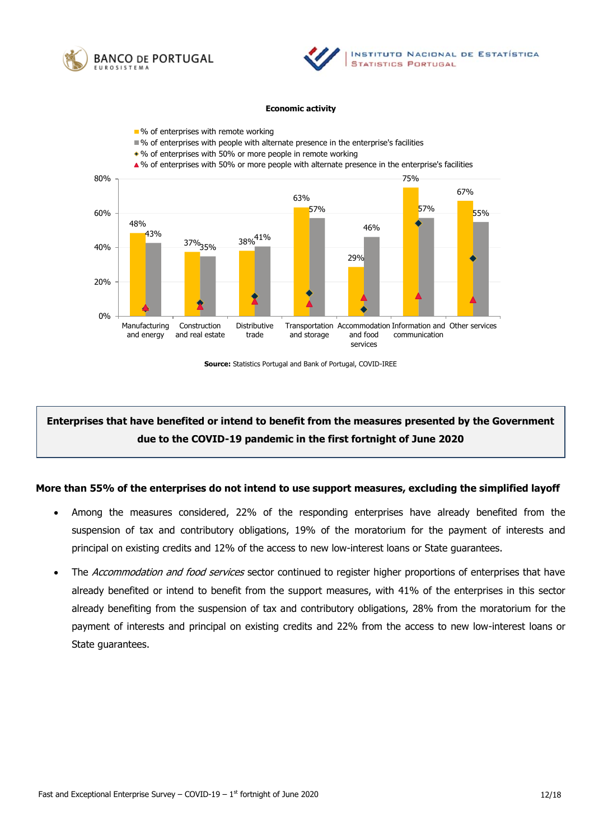





**Source:** Statistics Portugal and Bank of Portugal, COVID-IREE

# **Enterprises that have benefited or intend to benefit from the measures presented by the Government due to the COVID-19 pandemic in the first fortnight of June 2020**

### **More than 55% of the enterprises do not intend to use support measures, excluding the simplified layoff**

- Among the measures considered, 22% of the responding enterprises have already benefited from the suspension of tax and contributory obligations, 19% of the moratorium for the payment of interests and principal on existing credits and 12% of the access to new low-interest loans or State guarantees.
- The Accommodation and food services sector continued to register higher proportions of enterprises that have already benefited or intend to benefit from the support measures, with 41% of the enterprises in this sector already benefiting from the suspension of tax and contributory obligations, 28% from the moratorium for the payment of interests and principal on existing credits and 22% from the access to new low-interest loans or State guarantees.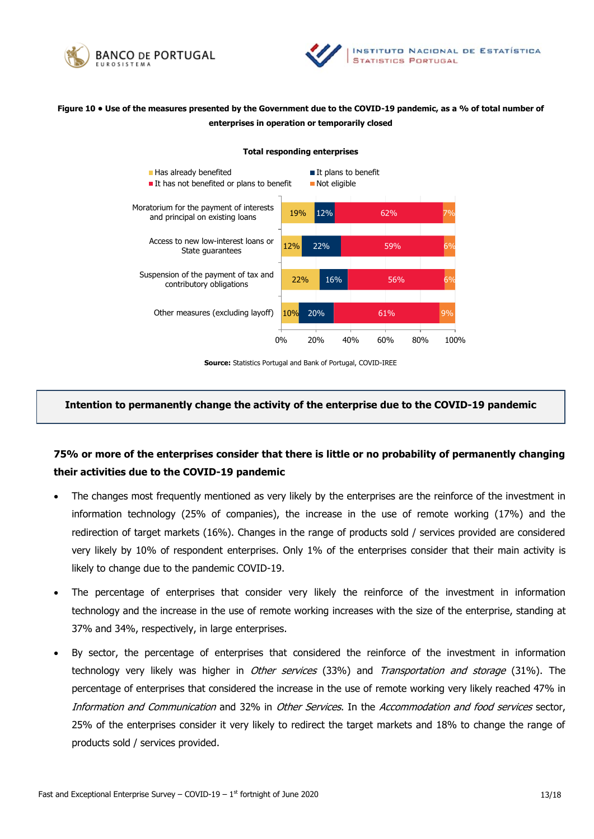



## **Figure 10 • Use of the measures presented by the Government due to the COVID-19 pandemic, as a % of total number of enterprises in operation or temporarily closed**

#### **Total responding enterprises**



**Source:** Statistics Portugal and Bank of Portugal, COVID-IREE

### **Intention to permanently change the activity of the enterprise due to the COVID-19 pandemic**

## **75% or more of the enterprises consider that there is little or no probability of permanently changing their activities due to the COVID-19 pandemic**

- The changes most frequently mentioned as very likely by the enterprises are the reinforce of the investment in information technology (25% of companies), the increase in the use of remote working (17%) and the redirection of target markets (16%). Changes in the range of products sold / services provided are considered very likely by 10% of respondent enterprises. Only 1% of the enterprises consider that their main activity is likely to change due to the pandemic COVID-19.
- The percentage of enterprises that consider very likely the reinforce of the investment in information technology and the increase in the use of remote working increases with the size of the enterprise, standing at 37% and 34%, respectively, in large enterprises.
- By sector, the percentage of enterprises that considered the reinforce of the investment in information technology very likely was higher in *Other services* (33%) and *Transportation and storage* (31%). The percentage of enterprises that considered the increase in the use of remote working very likely reached 47% in Information and Communication and 32% in Other Services. In the Accommodation and food services sector, 25% of the enterprises consider it very likely to redirect the target markets and 18% to change the range of products sold / services provided.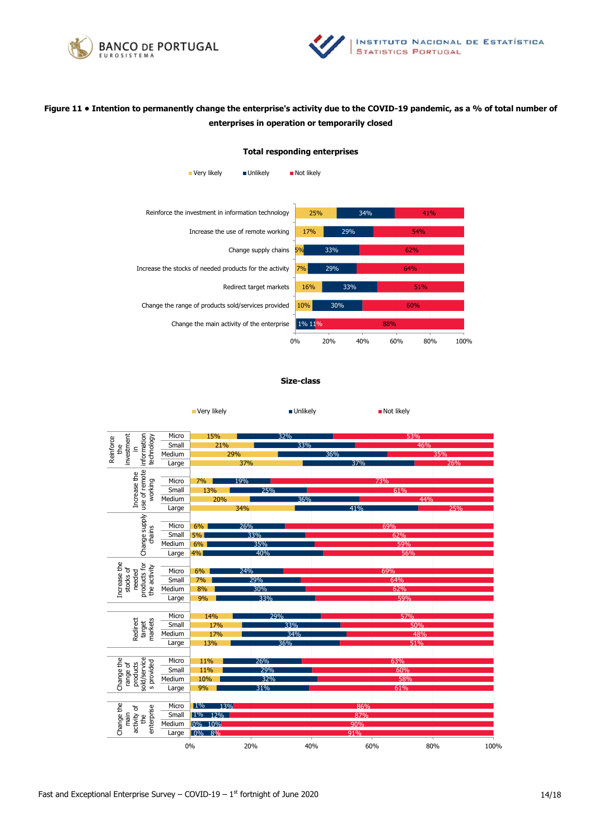



## **Figure 11 • Intention to permanently change the enterprise's activity due to the COVID-19 pandemic, as a % of total number of enterprises in operation or temporarily closed**

#### **Total responding enterprises**

| Very likely                        | <b>Unlikely</b>                                         | Not likely |     |     |            |     |      |
|------------------------------------|---------------------------------------------------------|------------|-----|-----|------------|-----|------|
|                                    |                                                         |            |     |     |            |     |      |
|                                    | Reinforce the investment in information technology      | 25%        |     | 34% |            | 41% |      |
| Increase the use of remote working |                                                         |            | 29% |     | <b>54%</b> |     |      |
| Change supply chains<br>5%         |                                                         |            | 33% |     | 62%        |     |      |
|                                    | Increase the stocks of needed products for the activity | 7%         | 29% |     | 64%        |     |      |
|                                    | Redirect target markets                                 | 16%        | 33% |     |            | 51% |      |
|                                    | Change the range of products sold/services provided     | 10%        | 30% |     | 60%        |     |      |
|                                    | Change the main activity of the enterprise              | 1% 11%     |     |     | 88%        |     |      |
|                                    |                                                         | 0%         | 20% | 40% | 60%        | 80% | 100% |

#### **Size-class**

■ Very likely Not likely Not likely Not likely

|                                                                                | Micro  | 15%          |     | 32% |     | 53% |      |
|--------------------------------------------------------------------------------|--------|--------------|-----|-----|-----|-----|------|
| information<br>investment<br>technology<br>Reinforce<br>£<br>Ξ.                | Small  | 21%          |     | 33% |     | 46% |      |
|                                                                                | Medium |              | 29% |     | 36% | 35% |      |
|                                                                                | Large  |              | 37% |     | 37% |     | 26%  |
| use of remote<br>Increase the<br>working                                       |        |              |     |     |     |     |      |
|                                                                                | Micro  | 7%           | 19% |     |     | 73% |      |
|                                                                                | Small  | 13%          | 25% |     |     | 61% |      |
|                                                                                | Medium | 20%          |     | 36% |     | 44% |      |
|                                                                                | Large  |              | 34% |     | 41% |     | 25%  |
|                                                                                |        |              |     |     |     |     |      |
| Change supply                                                                  | Micro  | 6%           | 26% |     |     | 69% |      |
| chains                                                                         | Small  | 5%           | 33% |     |     | 62% |      |
|                                                                                | Medium | 6%           | 35% |     |     | 59% |      |
|                                                                                | Large  | 4%           | 40% |     |     | 56% |      |
|                                                                                |        |              |     |     |     |     |      |
|                                                                                | Micro  | 6%           | 24% |     |     | 69% |      |
| needed                                                                         | Small  | 7%           | 29% |     |     | 64% |      |
| Increase the<br>products for<br>the activity<br>stocks of                      | Medium | 8%           | 30% |     |     | 62% |      |
|                                                                                | Large  | 9%           | 33% |     |     | 59% |      |
|                                                                                |        |              |     |     |     |     |      |
|                                                                                | Micro  | 14%          | 29% |     |     | 57% |      |
| markets<br>Redirect<br>target                                                  | Small  | 17%          |     | 33% |     | 50% |      |
|                                                                                | Medium | 17%          |     | 34% |     | 48% |      |
|                                                                                | Large  | 13%          |     | 36% |     | 51% |      |
|                                                                                |        |              |     |     |     |     |      |
|                                                                                | Micro  | 11%          | 26% |     |     | 63% |      |
| sold/service<br>Change the<br>s provided<br>range of<br>products               | Small  | 11%          | 29% |     |     | 60% |      |
|                                                                                | Medium | 10%          | 32% |     |     | 58% |      |
|                                                                                | Large  | 9%           | 31% |     |     | 61% |      |
|                                                                                |        |              |     |     |     |     |      |
| Change the<br>enterprise<br>activity of<br>main<br>$\mathfrak{t}^{\mathsf{e}}$ | Micro  | $1\%$<br>13% |     |     | 86% |     |      |
|                                                                                | Small  | $1\%$ 12%    |     |     | 87% |     |      |
|                                                                                | Medium | 0% 10%       |     |     | 90% |     |      |
|                                                                                | Large  | 0% 8%        |     |     | 91% |     |      |
|                                                                                |        | 0%           | 20% | 40% | 60% | 80% | 100% |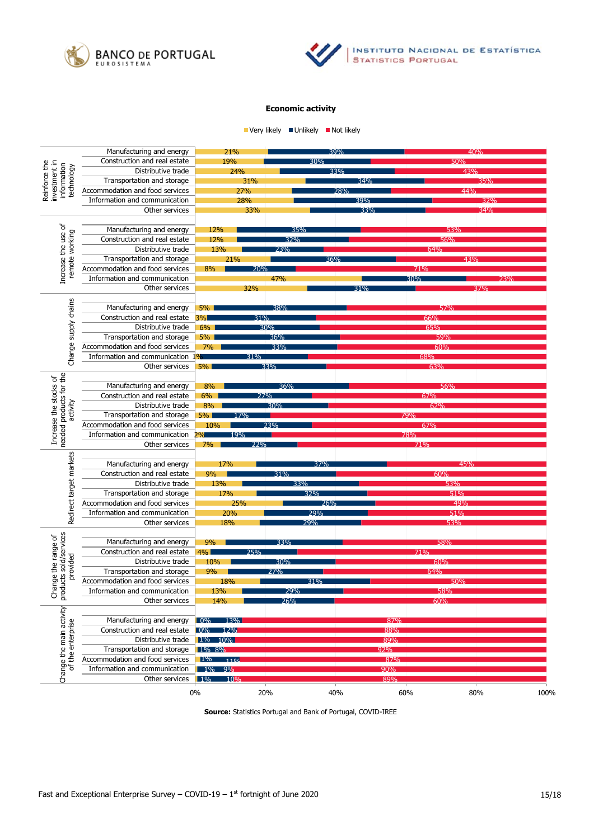



 $\blacksquare$  Very likely  $\blacksquare$  Unlikely  $\blacksquare$  Not likely

| Manufacturing and energy                                    |                                                               | 21%<br>39%                |     |            | 40% |     |     |      |
|-------------------------------------------------------------|---------------------------------------------------------------|---------------------------|-----|------------|-----|-----|-----|------|
|                                                             | Construction and real estate                                  | 19%<br>30%                |     |            | 5በ% |     |     |      |
|                                                             | Distributive trade                                            | 24%                       |     | 33%        |     | 43% |     |      |
| Reinforce the<br>investment in<br>information<br>technology | Transportation and storage                                    | 31%                       |     |            | 34% |     | 35% |      |
|                                                             | Accommodation and food services                               | 27%                       |     | 28%        |     |     | 44% |      |
|                                                             | Information and communication                                 | 28%                       |     |            | 39% |     | 32% |      |
|                                                             | Other services                                                | 33%                       |     |            | 33% |     | 34% |      |
|                                                             |                                                               |                           |     |            |     |     |     |      |
|                                                             | Manufacturing and energy                                      | 12%                       | 35% |            |     | 53% |     |      |
| Increase the use of<br>remote working                       | Construction and real estate                                  | 12%                       | 32% |            |     |     |     |      |
|                                                             | Distributive trade                                            | 13%                       | 23% |            |     | 64% |     |      |
|                                                             | Transportation and storage                                    | 21%                       |     | 36%        |     |     | 43% |      |
|                                                             | Accommodation and food services                               | 8%                        |     |            |     |     |     |      |
|                                                             | Information and communication                                 |                           | 47% |            |     | 30% |     | ን 3% |
|                                                             | Other services                                                | 32%                       |     |            |     |     |     |      |
|                                                             |                                                               |                           |     |            |     |     |     |      |
|                                                             | Manufacturing and energy                                      | $5\%$                     | 38% |            |     | 57% |     |      |
|                                                             | Construction and real estate                                  | 3%                        | 31% |            |     | 66% |     |      |
|                                                             | Distributive trade                                            | $6\%$                     | 30% |            |     | 65% |     |      |
| Change supply chains                                        | Transportation and storage                                    | 5%                        | 36% |            |     | 59% |     |      |
|                                                             | Accommodation and food services                               | 7%<br>33%                 |     | 60%        |     |     |     |      |
|                                                             | Information and communication                                 | 31%                       |     |            |     | 68% |     |      |
|                                                             | Other services                                                | 5%<br>33%                 |     |            |     |     |     |      |
|                                                             |                                                               |                           |     |            |     |     |     |      |
|                                                             | Manufacturing and energy                                      | 8%                        | 36% |            |     | 56% |     |      |
|                                                             | Construction and real estate                                  | 6%                        | 27% |            |     | 67% |     |      |
| activity                                                    | Distributive trade                                            | 8%                        | 30% |            |     | 62% |     |      |
|                                                             | Transportation and storage                                    | 5%  <br>17%               |     |            | 79% |     |     |      |
| Increase the stocks of<br>needed products for the           | Accommodation and food services                               | 10%                       | 23% |            |     | 67% |     |      |
|                                                             | Information and communication                                 | 19%                       |     |            | 78% |     |     |      |
|                                                             | Other services                                                | 7%                        | 72% |            |     |     |     |      |
| Redirect target markets                                     |                                                               |                           |     |            |     |     |     |      |
|                                                             | Manufacturing and energy                                      | 17%                       |     | 37%        |     |     | 45% |      |
|                                                             | Construction and real estate                                  | 9%                        | 31% |            |     | 60% |     |      |
|                                                             | Distributive trade                                            | 13%                       |     |            |     | 53% |     |      |
|                                                             | Transportation and storage<br>Accommodation and food services | 17%                       |     | 32%        |     | 51% | 49% |      |
|                                                             | Information and communication                                 | 25%<br>20%                |     | 26%<br>79% |     |     |     |      |
|                                                             | Other services                                                | 18%                       |     | 29%        |     | 53% |     |      |
|                                                             |                                                               |                           |     |            |     |     |     |      |
|                                                             | Manufacturing and energy                                      | 9%                        | 33% |            |     | 58% |     |      |
|                                                             | Construction and real estate                                  | 4% l                      | 25% |            |     | 71% |     |      |
|                                                             | Distributive trade                                            | 10%                       | 30% |            |     | 60% |     |      |
| provided                                                    | Transportation and storage                                    | 9%                        | 27% |            |     | 64% |     |      |
| Change the range of<br>products sold/services               | Accommodation and food services                               | 18%                       |     | 31%        |     | 50% |     |      |
|                                                             | Information and communication                                 | 13%                       |     |            |     |     |     |      |
|                                                             | Other services                                                | 14%                       | 26% |            |     | 60% |     |      |
|                                                             |                                                               |                           |     |            |     |     |     |      |
|                                                             | Manufacturing and energy                                      | $\boxed{0\%}$ 13%         |     |            | 87% |     |     |      |
| Change the main activity<br>of the enterprise               | Construction and real estate                                  | $\sqrt{0\%}$<br>12%       |     |            | 88% |     |     |      |
|                                                             | Distributive trade                                            | $1\%$ 10%                 |     |            | 89% |     |     |      |
|                                                             | Transportation and storage                                    | 1% 8%                     |     |            | 92% |     |     |      |
|                                                             | Accommodation and food services                               | 110 <sub>6</sub><br>$1\%$ |     |            | 87% |     |     |      |
|                                                             | Information and communication                                 | 1% 9%                     |     |            | 90% |     |     |      |
|                                                             | Other services                                                | $1\%$<br>10%              |     |            | 89% |     |     |      |
|                                                             |                                                               | 0%                        | 20% | 40%        | 60% |     | 80% | 100% |
|                                                             |                                                               |                           |     |            |     |     |     |      |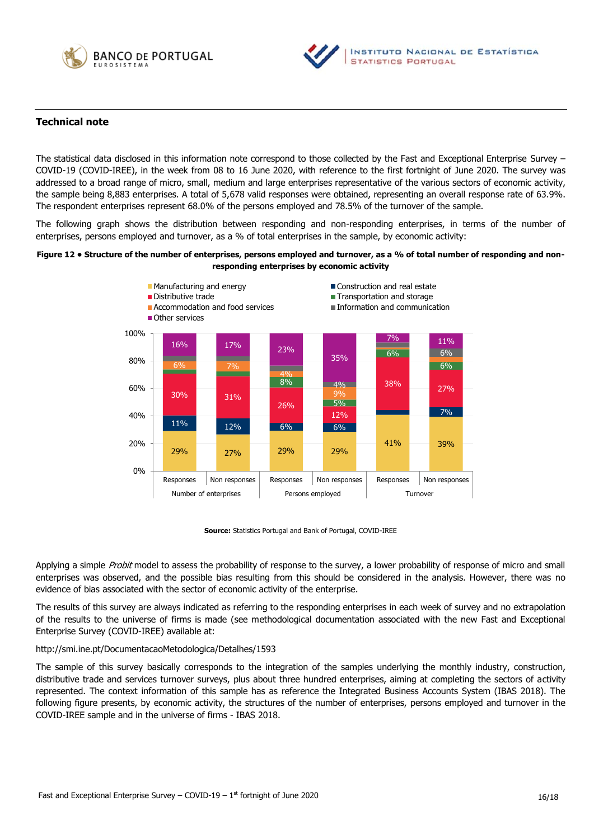



## **Technical note**

The statistical data disclosed in this information note correspond to those collected by the Fast and Exceptional Enterprise Survey – COVID-19 (COVID-IREE), in the week from 08 to 16 June 2020, with reference to the first fortnight of June 2020. The survey was addressed to a broad range of micro, small, medium and large enterprises representative of the various sectors of economic activity, the sample being 8,883 enterprises. A total of 5,678 valid responses were obtained, representing an overall response rate of 63.9%. The respondent enterprises represent 68.0% of the persons employed and 78.5% of the turnover of the sample.

The following graph shows the distribution between responding and non-responding enterprises, in terms of the number of enterprises, persons employed and turnover, as a % of total enterprises in the sample, by economic activity:

#### **Figure 12 • Structure of the number of enterprises, persons employed and turnover, as a % of total number of responding and nonresponding enterprises by economic activity**



**Source:** Statistics Portugal and Bank of Portugal, COVID-IREE

Applying a simple *Probit* model to assess the probability of response to the survey, a lower probability of response of micro and small enterprises was observed, and the possible bias resulting from this should be considered in the analysis. However, there was no evidence of bias associated with the sector of economic activity of the enterprise.

The results of this survey are always indicated as referring to the responding enterprises in each week of survey and no extrapolation of the results to the universe of firms is made (see methodological documentation associated with the new Fast and Exceptional Enterprise Survey (COVID-IREE) available at:

#### <http://smi.ine.pt/DocumentacaoMetodologica/Detalhes/1593>

The sample of this survey basically corresponds to the integration of the samples underlying the monthly industry, construction, distributive trade and services turnover surveys, plus about three hundred enterprises, aiming at completing the sectors of activity represented. The context information of this sample has as reference the Integrated Business Accounts System (IBAS 2018). The following figure presents, by economic activity, the structures of the number of enterprises, persons employed and turnover in the COVID-IREE sample and in the universe of firms - IBAS 2018.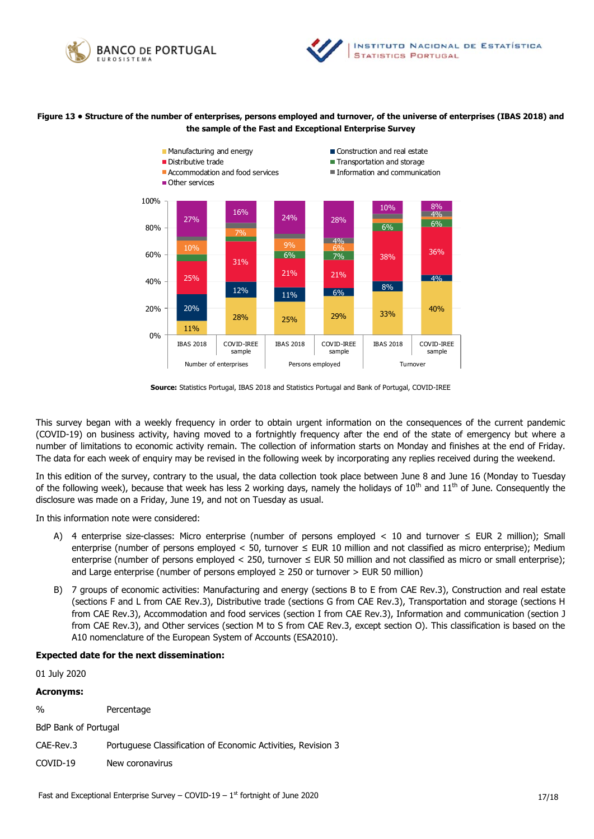



#### **Figure 13 • Structure of the number of enterprises, persons employed and turnover, of the universe of enterprises (IBAS 2018) and the sample of the Fast and Exceptional Enterprise Survey**



**Source:** Statistics Portugal, IBAS 2018 and Statistics Portugal and Bank of Portugal, COVID-IREE

This survey began with a weekly frequency in order to obtain urgent information on the consequences of the current pandemic (COVID-19) on business activity, having moved to a fortnightly frequency after the end of the state of emergency but where a number of limitations to economic activity remain. The collection of information starts on Monday and finishes at the end of Friday. The data for each week of enquiry may be revised in the following week by incorporating any replies received during the weekend.

In this edition of the survey, contrary to the usual, the data collection took place between June 8 and June 16 (Monday to Tuesday of the following week), because that week has less 2 working days, namely the holidays of  $10^{th}$  and  $11^{th}$  of June. Consequently the disclosure was made on a Friday, June 19, and not on Tuesday as usual.

In this information note were considered:

- A) 4 enterprise size-classes: Micro enterprise (number of persons employed < 10 and turnover  $\leq$  EUR 2 million); Small enterprise (number of persons employed < 50, turnover  $\leq$  EUR 10 million and not classified as micro enterprise); Medium enterprise (number of persons employed < 250, turnover ≤ EUR 50 million and not classified as micro or small enterprise); and Large enterprise (number of persons employed  $\geq$  250 or turnover  $>$  EUR 50 million)
- B) 7 groups of economic activities: Manufacturing and energy (sections B to E from CAE Rev.3), Construction and real estate (sections F and L from CAE Rev.3), Distributive trade (sections G from CAE Rev.3), Transportation and storage (sections H from CAE Rev.3), Accommodation and food services (section I from CAE Rev.3), Information and communication (section J from CAE Rev.3), and Other services (section M to S from CAE Rev.3, except section O). This classification is based on the A10 nomenclature of the European System of Accounts (ESA2010).

#### **Expected date for the next dissemination:**

01 July 2020

#### **Acronyms:**

% Percentage

BdP Bank of Portugal

CAE-Rev.3 Portuguese Classification of Economic Activities, Revision 3

COVID-19 New coronavirus